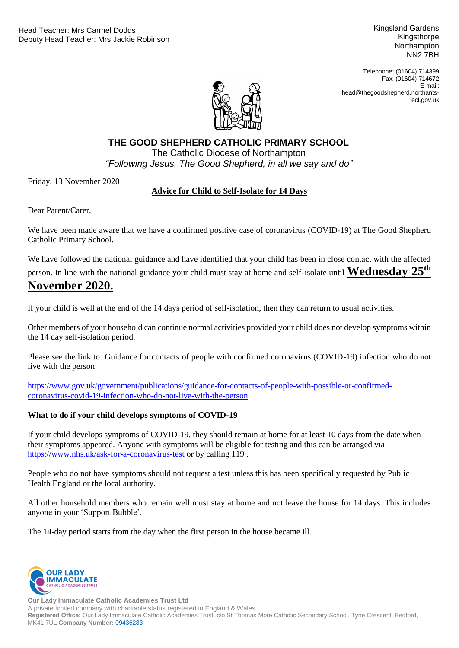Kingsland Gardens Kingsthorpe **Northampton** NN2 7BH

Telephone: (01604) 714399 Fax: (01604) 714672 E-mail: head@thegoodshepherd.northantsecl.gov.uk



**THE GOOD SHEPHERD CATHOLIC PRIMARY SCHOOL**

Catholic Diocese of Northampton *"Following Jesus, The Good Shepherd, in all we say and do"*The Catholic Diocese of Northampton

Friday, 13 November 2020

# **Advice for Child to Self-Isolate for 14 Days**

Dear Parent/Carer,

We have been made aware that we have a confirmed positive case of coronavirus (COVID-19) at The Good Shepherd Catholic Primary School.

We have followed the national guidance and have identified that your child has been in close contact with the affected

person. In line with the national guidance your child must stay at home and self-isolate until **Wednesday 25th**

# **November 2020.**

If your child is well at the end of the 14 days period of self-isolation, then they can return to usual activities.

Other members of your household can continue normal activities provided your child does not develop symptoms within the 14 day self-isolation period.

Please see the link to: Guidance for contacts of people with confirmed coronavirus (COVID-19) infection who do not live with the person

[https://www.gov.uk/government/publications/guidance-for-contacts-of-people-with-possible-or-confirmed](https://www.gov.uk/government/publications/guidance-for-contacts-of-people-with-possible-or-confirmed-coronavirus-covid-19-infection-who-do-not-live-with-the-person)[coronavirus-covid-19-infection-who-do-not-live-with-the-person](https://www.gov.uk/government/publications/guidance-for-contacts-of-people-with-possible-or-confirmed-coronavirus-covid-19-infection-who-do-not-live-with-the-person)

## **What to do if your child develops symptoms of COVID-19**

If your child develops symptoms of COVID-19, they should remain at home for at least 10 days from the date when their symptoms appeared. Anyone with symptoms will be eligible for testing and this can be arranged via <https://www.nhs.uk/ask-for-a-coronavirus-test> or by calling 119 .

People who do not have symptoms should not request a test unless this has been specifically requested by Public Health England or the local authority.

All other household members who remain well must stay at home and not leave the house for 14 days. This includes anyone in your 'Support Bubble'.

The 14-day period starts from the day when the first person in the house became ill.



**Our Lady Immaculate Catholic Academies Trust Ltd** A private limited company with charitable status registered in England & Wales **Registered Office:** Our Lady Immaculate Catholic Academies Trust, c/o St Thomas More Catholic Secondary School, Tyne Crescent, Bedford, MK41 7UL **Company Number:** [09436283](https://beta.companieshouse.gov.uk/company/09436283)